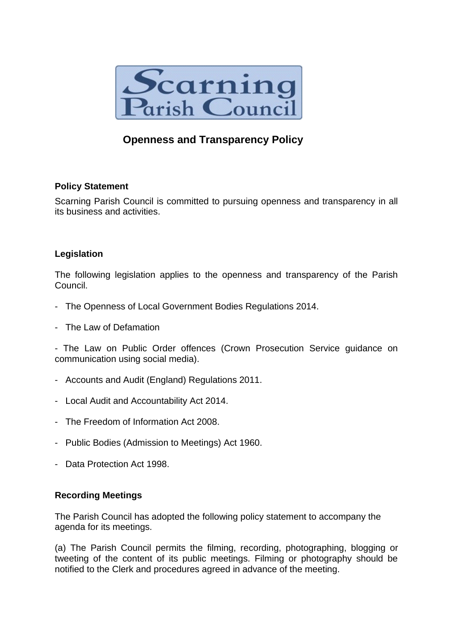

# **Openness and Transparency Policy**

## **Policy Statement**

Scarning Parish Council is committed to pursuing openness and transparency in all its business and activities.

# **Legislation**

The following legislation applies to the openness and transparency of the Parish Council.

- The Openness of Local Government Bodies Regulations 2014.
- The Law of Defamation

- The Law on Public Order offences (Crown Prosecution Service guidance on communication using social media).

- Accounts and Audit (England) Regulations 2011.
- Local Audit and Accountability Act 2014.
- The Freedom of Information Act 2008.
- Public Bodies (Admission to Meetings) Act 1960.
- Data Protection Act 1998.

## **Recording Meetings**

The Parish Council has adopted the following policy statement to accompany the agenda for its meetings.

(a) The Parish Council permits the filming, recording, photographing, blogging or tweeting of the content of its public meetings. Filming or photography should be notified to the Clerk and procedures agreed in advance of the meeting.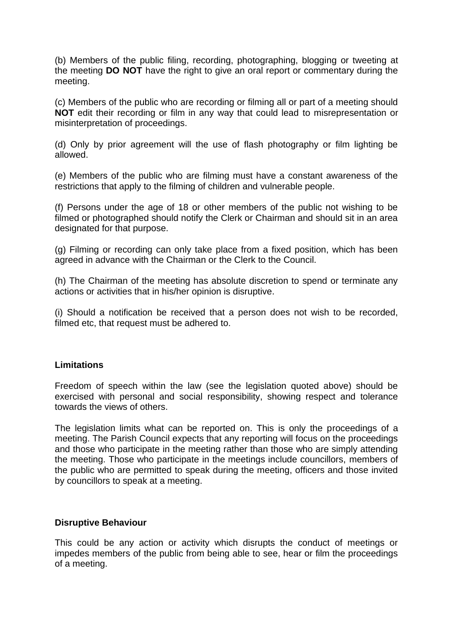(b) Members of the public filing, recording, photographing, blogging or tweeting at the meeting **DO NOT** have the right to give an oral report or commentary during the meeting.

(c) Members of the public who are recording or filming all or part of a meeting should **NOT** edit their recording or film in any way that could lead to misrepresentation or misinterpretation of proceedings.

(d) Only by prior agreement will the use of flash photography or film lighting be allowed.

(e) Members of the public who are filming must have a constant awareness of the restrictions that apply to the filming of children and vulnerable people.

(f) Persons under the age of 18 or other members of the public not wishing to be filmed or photographed should notify the Clerk or Chairman and should sit in an area designated for that purpose.

(g) Filming or recording can only take place from a fixed position, which has been agreed in advance with the Chairman or the Clerk to the Council.

(h) The Chairman of the meeting has absolute discretion to spend or terminate any actions or activities that in his/her opinion is disruptive.

(i) Should a notification be received that a person does not wish to be recorded, filmed etc, that request must be adhered to.

#### **Limitations**

Freedom of speech within the law (see the legislation quoted above) should be exercised with personal and social responsibility, showing respect and tolerance towards the views of others.

The legislation limits what can be reported on. This is only the proceedings of a meeting. The Parish Council expects that any reporting will focus on the proceedings and those who participate in the meeting rather than those who are simply attending the meeting. Those who participate in the meetings include councillors, members of the public who are permitted to speak during the meeting, officers and those invited by councillors to speak at a meeting.

#### **Disruptive Behaviour**

This could be any action or activity which disrupts the conduct of meetings or impedes members of the public from being able to see, hear or film the proceedings of a meeting.